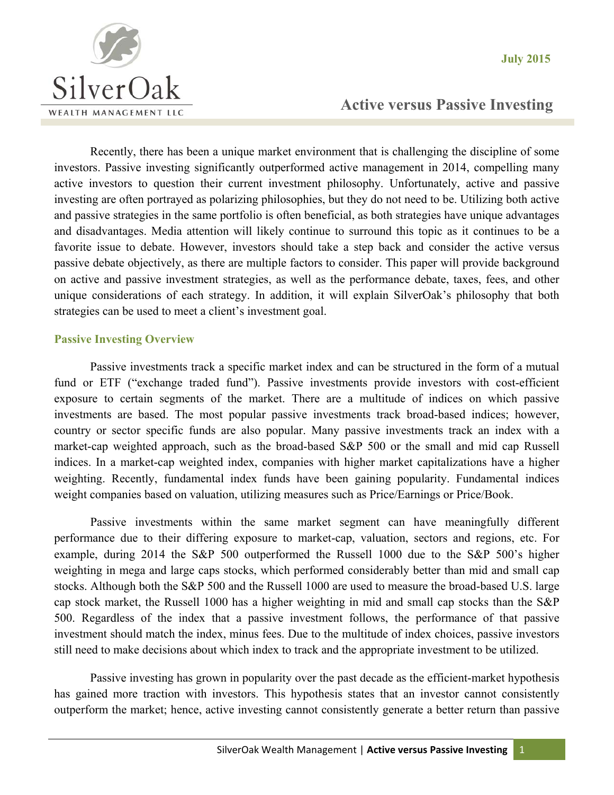

# **Active versus Passive Investing**

Recently, there has been a unique market environment that is challenging the discipline of some investors. Passive investing significantly outperformed active management in 2014, compelling many active investors to question their current investment philosophy. Unfortunately, active and passive investing are often portrayed as polarizing philosophies, but they do not need to be. Utilizing both active and passive strategies in the same portfolio is often beneficial, as both strategies have unique advantages and disadvantages. Media attention will likely continue to surround this topic as it continues to be a favorite issue to debate. However, investors should take a step back and consider the active versus passive debate objectively, as there are multiple factors to consider. This paper will provide background on active and passive investment strategies, as well as the performance debate, taxes, fees, and other unique considerations of each strategy. In addition, it will explain SilverOak's philosophy that both strategies can be used to meet a client's investment goal.

### **Passive Investing Overview**

Passive investments track a specific market index and can be structured in the form of a mutual fund or ETF ("exchange traded fund"). Passive investments provide investors with cost-efficient exposure to certain segments of the market. There are a multitude of indices on which passive investments are based. The most popular passive investments track broad-based indices; however, country or sector specific funds are also popular. Many passive investments track an index with a market-cap weighted approach, such as the broad-based S&P 500 or the small and mid cap Russell indices. In a market-cap weighted index, companies with higher market capitalizations have a higher weighting. Recently, fundamental index funds have been gaining popularity. Fundamental indices weight companies based on valuation, utilizing measures such as Price/Earnings or Price/Book.

 Passive investments within the same market segment can have meaningfully different performance due to their differing exposure to market-cap, valuation, sectors and regions, etc. For example, during 2014 the S&P 500 outperformed the Russell 1000 due to the S&P 500's higher weighting in mega and large caps stocks, which performed considerably better than mid and small cap stocks. Although both the S&P 500 and the Russell 1000 are used to measure the broad-based U.S. large cap stock market, the Russell 1000 has a higher weighting in mid and small cap stocks than the S&P 500. Regardless of the index that a passive investment follows, the performance of that passive investment should match the index, minus fees. Due to the multitude of index choices, passive investors still need to make decisions about which index to track and the appropriate investment to be utilized.

Passive investing has grown in popularity over the past decade as the efficient-market hypothesis has gained more traction with investors. This hypothesis states that an investor cannot consistently outperform the market; hence, active investing cannot consistently generate a better return than passive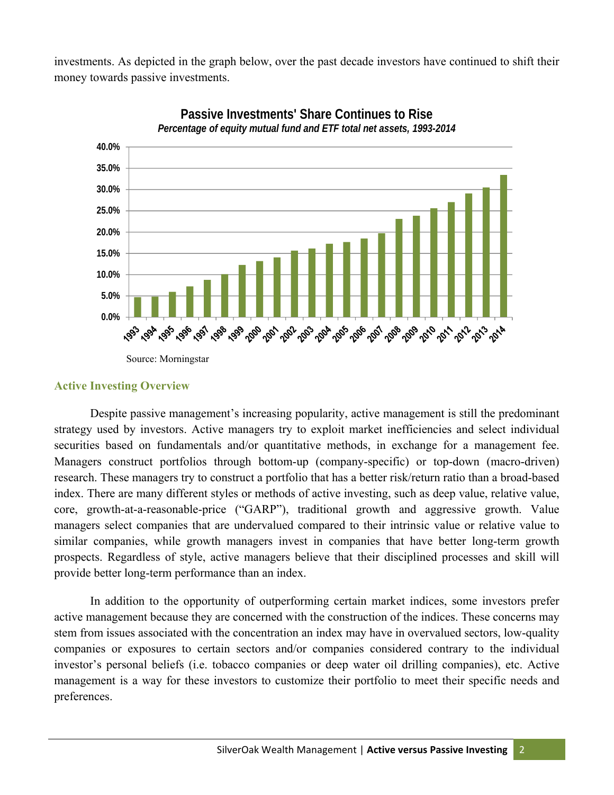investments. As depicted in the graph below, over the past decade investors have continued to shift their money towards passive investments.



**Passive Investments' Share Continues to Rise** *Percentage of equity mutual fund and ETF total net assets, 1993-2014*

#### **Active Investing Overview**

Despite passive management's increasing popularity, active management is still the predominant strategy used by investors. Active managers try to exploit market inefficiencies and select individual securities based on fundamentals and/or quantitative methods, in exchange for a management fee. Managers construct portfolios through bottom-up (company-specific) or top-down (macro-driven) research. These managers try to construct a portfolio that has a better risk/return ratio than a broad-based index. There are many different styles or methods of active investing, such as deep value, relative value, core, growth-at-a-reasonable-price ("GARP"), traditional growth and aggressive growth. Value managers select companies that are undervalued compared to their intrinsic value or relative value to similar companies, while growth managers invest in companies that have better long-term growth prospects. Regardless of style, active managers believe that their disciplined processes and skill will provide better long-term performance than an index.

In addition to the opportunity of outperforming certain market indices, some investors prefer active management because they are concerned with the construction of the indices. These concerns may stem from issues associated with the concentration an index may have in overvalued sectors, low-quality companies or exposures to certain sectors and/or companies considered contrary to the individual investor's personal beliefs (i.e. tobacco companies or deep water oil drilling companies), etc. Active management is a way for these investors to customize their portfolio to meet their specific needs and preferences.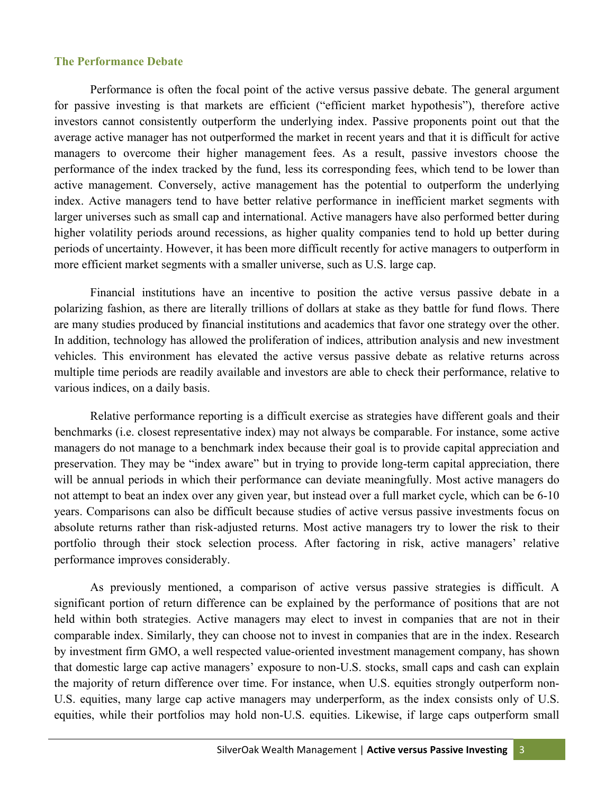### **The Performance Debate**

Performance is often the focal point of the active versus passive debate. The general argument for passive investing is that markets are efficient ("efficient market hypothesis"), therefore active investors cannot consistently outperform the underlying index. Passive proponents point out that the average active manager has not outperformed the market in recent years and that it is difficult for active managers to overcome their higher management fees. As a result, passive investors choose the performance of the index tracked by the fund, less its corresponding fees, which tend to be lower than active management. Conversely, active management has the potential to outperform the underlying index. Active managers tend to have better relative performance in inefficient market segments with larger universes such as small cap and international. Active managers have also performed better during higher volatility periods around recessions, as higher quality companies tend to hold up better during periods of uncertainty. However, it has been more difficult recently for active managers to outperform in more efficient market segments with a smaller universe, such as U.S. large cap.

Financial institutions have an incentive to position the active versus passive debate in a polarizing fashion, as there are literally trillions of dollars at stake as they battle for fund flows. There are many studies produced by financial institutions and academics that favor one strategy over the other. In addition, technology has allowed the proliferation of indices, attribution analysis and new investment vehicles. This environment has elevated the active versus passive debate as relative returns across multiple time periods are readily available and investors are able to check their performance, relative to various indices, on a daily basis.

Relative performance reporting is a difficult exercise as strategies have different goals and their benchmarks (i.e. closest representative index) may not always be comparable. For instance, some active managers do not manage to a benchmark index because their goal is to provide capital appreciation and preservation. They may be "index aware" but in trying to provide long-term capital appreciation, there will be annual periods in which their performance can deviate meaningfully. Most active managers do not attempt to beat an index over any given year, but instead over a full market cycle, which can be 6-10 years. Comparisons can also be difficult because studies of active versus passive investments focus on absolute returns rather than risk-adjusted returns. Most active managers try to lower the risk to their portfolio through their stock selection process. After factoring in risk, active managers' relative performance improves considerably.

As previously mentioned, a comparison of active versus passive strategies is difficult. A significant portion of return difference can be explained by the performance of positions that are not held within both strategies. Active managers may elect to invest in companies that are not in their comparable index. Similarly, they can choose not to invest in companies that are in the index. Research by investment firm GMO, a well respected value-oriented investment management company, has shown that domestic large cap active managers' exposure to non-U.S. stocks, small caps and cash can explain the majority of return difference over time. For instance, when U.S. equities strongly outperform non-U.S. equities, many large cap active managers may underperform, as the index consists only of U.S. equities, while their portfolios may hold non-U.S. equities. Likewise, if large caps outperform small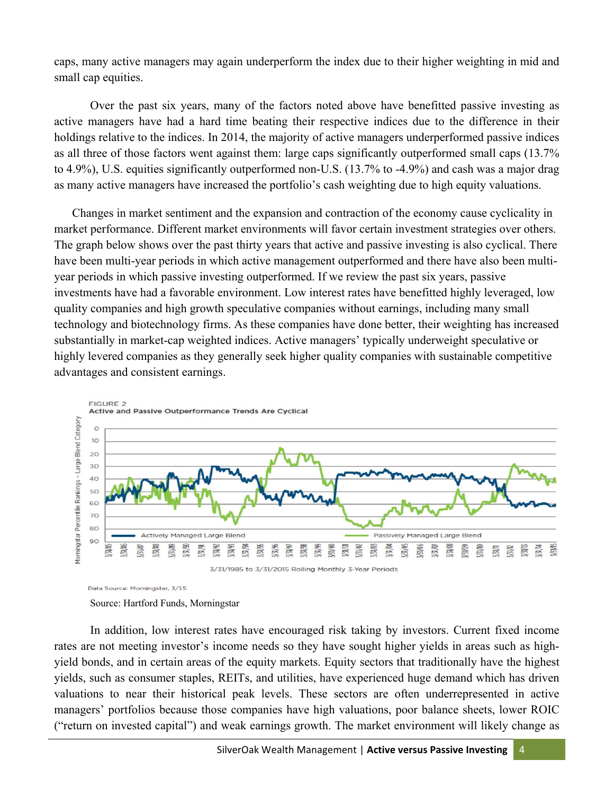caps, many active managers may again underperform the index due to their higher weighting in mid and small cap equities.

Over the past six years, many of the factors noted above have benefitted passive investing as active managers have had a hard time beating their respective indices due to the difference in their holdings relative to the indices. In 2014, the majority of active managers underperformed passive indices as all three of those factors went against them: large caps significantly outperformed small caps (13.7% to 4.9%), U.S. equities significantly outperformed non-U.S. (13.7% to -4.9%) and cash was a major drag as many active managers have increased the portfolio's cash weighting due to high equity valuations.

Changes in market sentiment and the expansion and contraction of the economy cause cyclicality in market performance. Different market environments will favor certain investment strategies over others. The graph below shows over the past thirty years that active and passive investing is also cyclical. There have been multi-year periods in which active management outperformed and there have also been multiyear periods in which passive investing outperformed. If we review the past six years, passive investments have had a favorable environment. Low interest rates have benefitted highly leveraged, low quality companies and high growth speculative companies without earnings, including many small technology and biotechnology firms. As these companies have done better, their weighting has increased substantially in market-cap weighted indices. Active managers' typically underweight speculative or highly levered companies as they generally seek higher quality companies with sustainable competitive advantages and consistent earnings.



Data Source: Morningstar, 3/15

In addition, low interest rates have encouraged risk taking by investors. Current fixed income rates are not meeting investor's income needs so they have sought higher yields in areas such as highyield bonds, and in certain areas of the equity markets. Equity sectors that traditionally have the highest yields, such as consumer staples, REITs, and utilities, have experienced huge demand which has driven valuations to near their historical peak levels. These sectors are often underrepresented in active managers' portfolios because those companies have high valuations, poor balance sheets, lower ROIC ("return on invested capital") and weak earnings growth. The market environment will likely change as

Source: Hartford Funds, Morningstar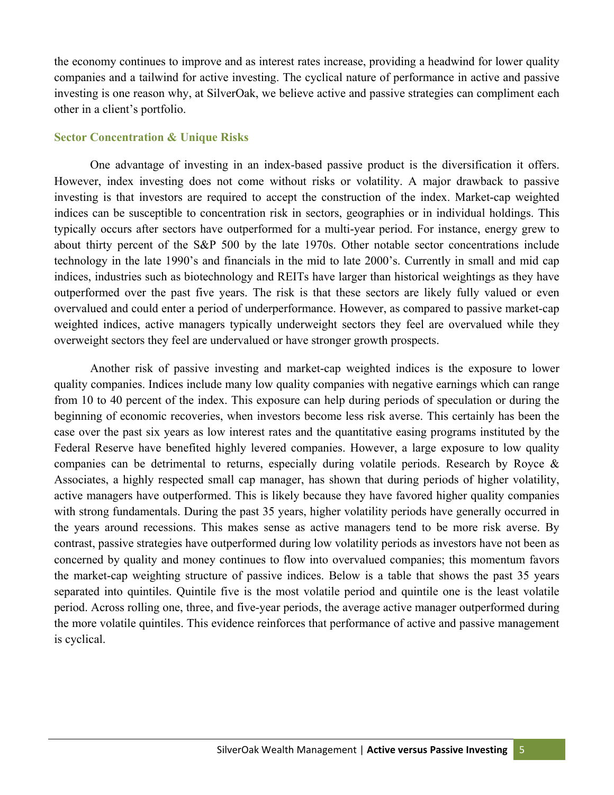the economy continues to improve and as interest rates increase, providing a headwind for lower quality companies and a tailwind for active investing. The cyclical nature of performance in active and passive investing is one reason why, at SilverOak, we believe active and passive strategies can compliment each other in a client's portfolio.

## **Sector Concentration & Unique Risks**

One advantage of investing in an index-based passive product is the diversification it offers. However, index investing does not come without risks or volatility. A major drawback to passive investing is that investors are required to accept the construction of the index. Market-cap weighted indices can be susceptible to concentration risk in sectors, geographies or in individual holdings. This typically occurs after sectors have outperformed for a multi-year period. For instance, energy grew to about thirty percent of the S&P 500 by the late 1970s. Other notable sector concentrations include technology in the late 1990's and financials in the mid to late 2000's. Currently in small and mid cap indices, industries such as biotechnology and REITs have larger than historical weightings as they have outperformed over the past five years. The risk is that these sectors are likely fully valued or even overvalued and could enter a period of underperformance. However, as compared to passive market-cap weighted indices, active managers typically underweight sectors they feel are overvalued while they overweight sectors they feel are undervalued or have stronger growth prospects.

Another risk of passive investing and market-cap weighted indices is the exposure to lower quality companies. Indices include many low quality companies with negative earnings which can range from 10 to 40 percent of the index. This exposure can help during periods of speculation or during the beginning of economic recoveries, when investors become less risk averse. This certainly has been the case over the past six years as low interest rates and the quantitative easing programs instituted by the Federal Reserve have benefited highly levered companies. However, a large exposure to low quality companies can be detrimental to returns, especially during volatile periods. Research by Royce & Associates, a highly respected small cap manager, has shown that during periods of higher volatility, active managers have outperformed. This is likely because they have favored higher quality companies with strong fundamentals. During the past 35 years, higher volatility periods have generally occurred in the years around recessions. This makes sense as active managers tend to be more risk averse. By contrast, passive strategies have outperformed during low volatility periods as investors have not been as concerned by quality and money continues to flow into overvalued companies; this momentum favors the market-cap weighting structure of passive indices. Below is a table that shows the past 35 years separated into quintiles. Quintile five is the most volatile period and quintile one is the least volatile period. Across rolling one, three, and five-year periods, the average active manager outperformed during the more volatile quintiles. This evidence reinforces that performance of active and passive management is cyclical.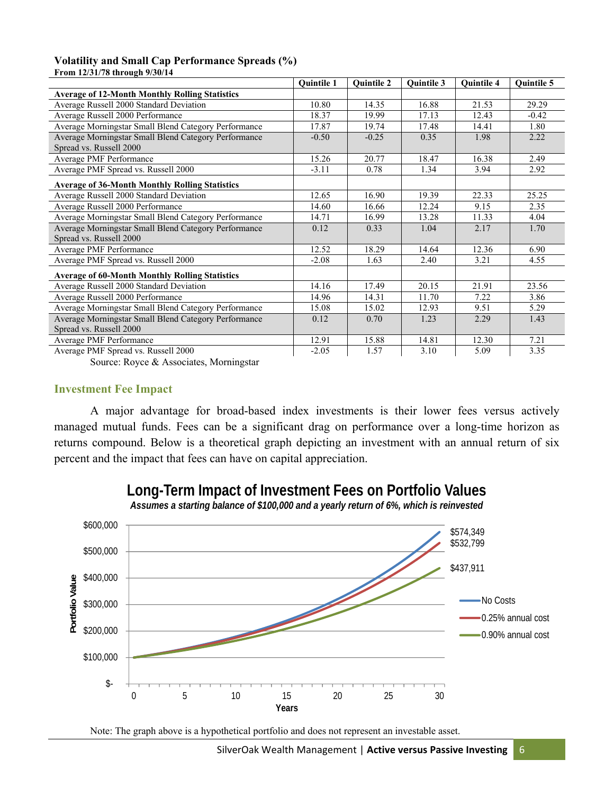#### **Volatility and Small Cap Performance Spreads (%) From 12/31/78 through 9/30/14**

| FT0111 14/J1/70 through 7/J0/14                       |                   |                   |                   |                   |                   |
|-------------------------------------------------------|-------------------|-------------------|-------------------|-------------------|-------------------|
|                                                       | <b>Ouintile 1</b> | <b>Quintile 2</b> | <b>Ouintile 3</b> | <b>Ouintile 4</b> | <b>Ouintile 5</b> |
| <b>Average of 12-Month Monthly Rolling Statistics</b> |                   |                   |                   |                   |                   |
| Average Russell 2000 Standard Deviation               | 10.80             | 14.35             | 16.88             | 21.53             | 29.29             |
| Average Russell 2000 Performance                      | 18.37             | 19.99             | 17.13             | 12.43             | $-0.42$           |
| Average Morningstar Small Blend Category Performance  | 17.87             | 19.74             | 17.48             | 14.41             | 1.80              |
| Average Morningstar Small Blend Category Performance  | $-0.50$           | $-0.25$           | 0.35              | 1.98              | 2.22              |
| Spread vs. Russell 2000                               |                   |                   |                   |                   |                   |
| Average PMF Performance                               | 15.26             | 20.77             | 18.47             | 16.38             | 2.49              |
| Average PMF Spread vs. Russell 2000                   | $-3.11$           | 0.78              | 1.34              | 3.94              | 2.92              |
| <b>Average of 36-Month Monthly Rolling Statistics</b> |                   |                   |                   |                   |                   |
| Average Russell 2000 Standard Deviation               | 12.65             | 16.90             | 19.39             | 22.33             | 25.25             |
| Average Russell 2000 Performance                      | 14.60             | 16.66             | 12.24             | 9.15              | 2.35              |
| Average Morningstar Small Blend Category Performance  | 14.71             | 16.99             | 13.28             | 11.33             | 4.04              |
| Average Morningstar Small Blend Category Performance  | 0.12              | 0.33              | 1.04              | 2.17              | 1.70              |
| Spread vs. Russell 2000                               |                   |                   |                   |                   |                   |
| Average PMF Performance                               | 12.52             | 18.29             | 14.64             | 12.36             | 6.90              |
| Average PMF Spread vs. Russell 2000                   | $-2.08$           | 1.63              | 2.40              | 3.21              | 4.55              |
| <b>Average of 60-Month Monthly Rolling Statistics</b> |                   |                   |                   |                   |                   |
| Average Russell 2000 Standard Deviation               | 14.16             | 17.49             | 20.15             | 21.91             | 23.56             |
| Average Russell 2000 Performance                      | 14.96             | 14.31             | 11.70             | 7.22              | 3.86              |
| Average Morningstar Small Blend Category Performance  | 15.08             | 15.02             | 12.93             | 9.51              | 5.29              |
| Average Morningstar Small Blend Category Performance  | 0.12              | 0.70              | 1.23              | 2.29              | 1.43              |
| Spread vs. Russell 2000                               |                   |                   |                   |                   |                   |
| Average PMF Performance                               | 12.91             | 15.88             | 14.81             | 12.30             | 7.21              |
| Average PMF Spread vs. Russell 2000                   | $-2.05$           | 1.57              | 3.10              | 5.09              | 3.35              |

Source: Royce & Associates, Morningstar

#### **Investment Fee Impact**

A major advantage for broad-based index investments is their lower fees versus actively managed mutual funds. Fees can be a significant drag on performance over a long-time horizon as returns compound. Below is a theoretical graph depicting an investment with an annual return of six percent and the impact that fees can have on capital appreciation.



**Long-Term Impact of Investment Fees on Portfolio Values**

*Assumes a starting balance of \$100,000 and a yearly return of 6%, which is reinvested*

Note: The graph above is a hypothetical portfolio and does not represent an investable asset.

SilverOak Wealth Management | **Active versus Passive Investing** 6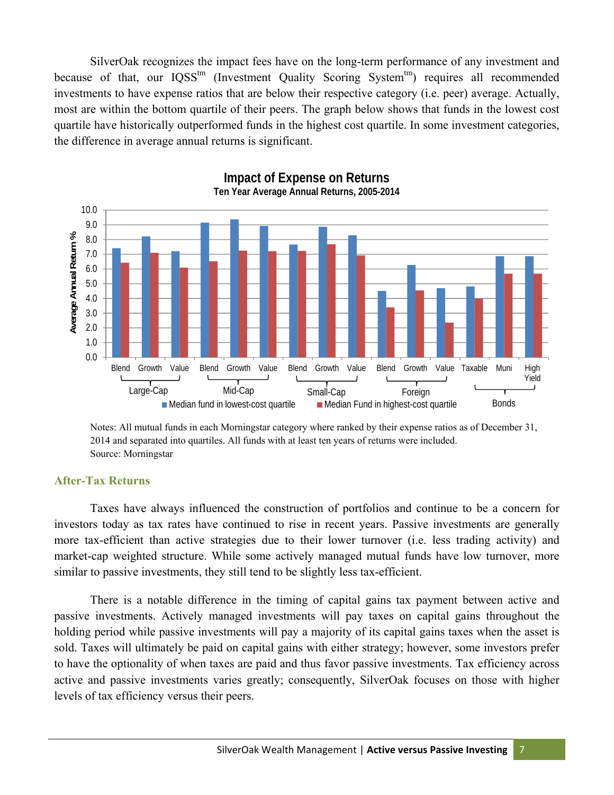SilverOak recognizes the impact fees have on the long-term performance of any investment and because of that, our IQSS<sup>tm</sup> (Investment Quality Scoring System<sup>tm</sup>) requires all recommended investments to have expense ratios that are below their respective category (i.e. peer) average. Actually, most are within the bottom quartile of their peers. The graph below shows that funds in the lowest cost quartile have historically outperformed funds in the highest cost quartile. In some investment categories, the difference in average annual returns is significant.



**Impact of Expense on Returns Ten Year Average Annual Returns, 2005-2014**

Notes: All mutual funds in each Morningstar category where ranked by their expense ratios as of December 31, 2014 and separated into quartiles. All funds with at least ten years of returns were included. Source: Morningstar

#### **After-Tax Returns**

Taxes have always influenced the construction of portfolios and continue to be a concern for investors today as tax rates have continued to rise in recent years. Passive investments are generally more tax-efficient than active strategies due to their lower turnover (i.e. less trading activity) and market-cap weighted structure. While some actively managed mutual funds have low turnover, more similar to passive investments, they still tend to be slightly less tax-efficient.

There is a notable difference in the timing of capital gains tax payment between active and passive investments. Actively managed investments will pay taxes on capital gains throughout the holding period while passive investments will pay a majority of its capital gains taxes when the asset is sold. Taxes will ultimately be paid on capital gains with either strategy; however, some investors prefer to have the optionality of when taxes are paid and thus favor passive investments. Tax efficiency across active and passive investments varies greatly; consequently, SilverOak focuses on those with higher levels of tax efficiency versus their peers.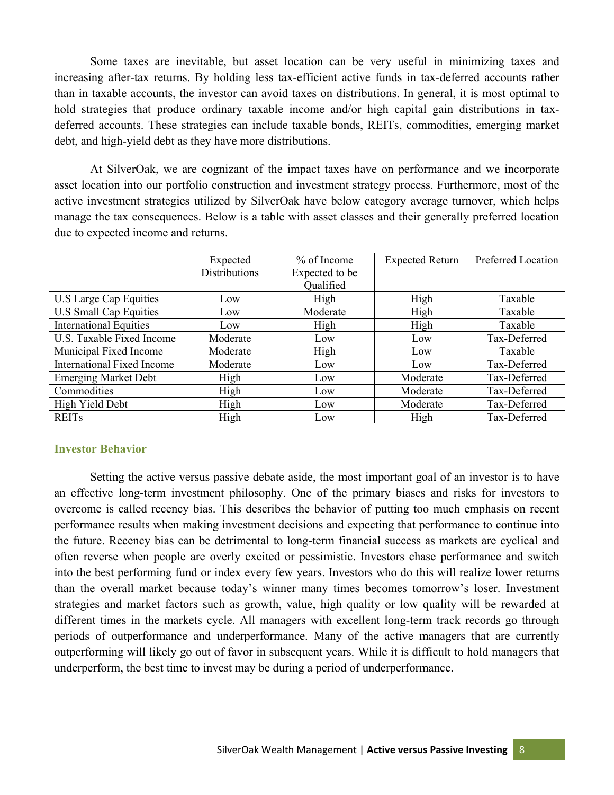Some taxes are inevitable, but asset location can be very useful in minimizing taxes and increasing after-tax returns. By holding less tax-efficient active funds in tax-deferred accounts rather than in taxable accounts, the investor can avoid taxes on distributions. In general, it is most optimal to hold strategies that produce ordinary taxable income and/or high capital gain distributions in taxdeferred accounts. These strategies can include taxable bonds, REITs, commodities, emerging market debt, and high-yield debt as they have more distributions.

At SilverOak, we are cognizant of the impact taxes have on performance and we incorporate asset location into our portfolio construction and investment strategy process. Furthermore, most of the active investment strategies utilized by SilverOak have below category average turnover, which helps manage the tax consequences. Below is a table with asset classes and their generally preferred location due to expected income and returns.

|                               | Expected             | $%$ of Income  | <b>Expected Return</b> | Preferred Location |
|-------------------------------|----------------------|----------------|------------------------|--------------------|
|                               | <b>Distributions</b> | Expected to be |                        |                    |
|                               |                      | Qualified      |                        |                    |
| U.S Large Cap Equities        | Low                  | High           | High                   | Taxable            |
| U.S Small Cap Equities        | Low                  | Moderate       | High                   | Taxable            |
| <b>International Equities</b> | Low                  | High           | High                   | Taxable            |
| U.S. Taxable Fixed Income     | Moderate             | Low            | Low                    | Tax-Deferred       |
| Municipal Fixed Income        | Moderate             | High           | Low                    | Taxable            |
| International Fixed Income    | Moderate             | Low            | Low                    | Tax-Deferred       |
| <b>Emerging Market Debt</b>   | High                 | Low            | Moderate               | Tax-Deferred       |
| Commodities                   | High                 | Low            | Moderate               | Tax-Deferred       |
| High Yield Debt               | High                 | Low            | Moderate               | Tax-Deferred       |
| <b>REITs</b>                  | High                 | Low            | High                   | Tax-Deferred       |

## **Investor Behavior**

Setting the active versus passive debate aside, the most important goal of an investor is to have an effective long-term investment philosophy. One of the primary biases and risks for investors to overcome is called recency bias. This describes the behavior of putting too much emphasis on recent performance results when making investment decisions and expecting that performance to continue into the future. Recency bias can be detrimental to long-term financial success as markets are cyclical and often reverse when people are overly excited or pessimistic. Investors chase performance and switch into the best performing fund or index every few years. Investors who do this will realize lower returns than the overall market because today's winner many times becomes tomorrow's loser. Investment strategies and market factors such as growth, value, high quality or low quality will be rewarded at different times in the markets cycle. All managers with excellent long-term track records go through periods of outperformance and underperformance. Many of the active managers that are currently outperforming will likely go out of favor in subsequent years. While it is difficult to hold managers that underperform, the best time to invest may be during a period of underperformance.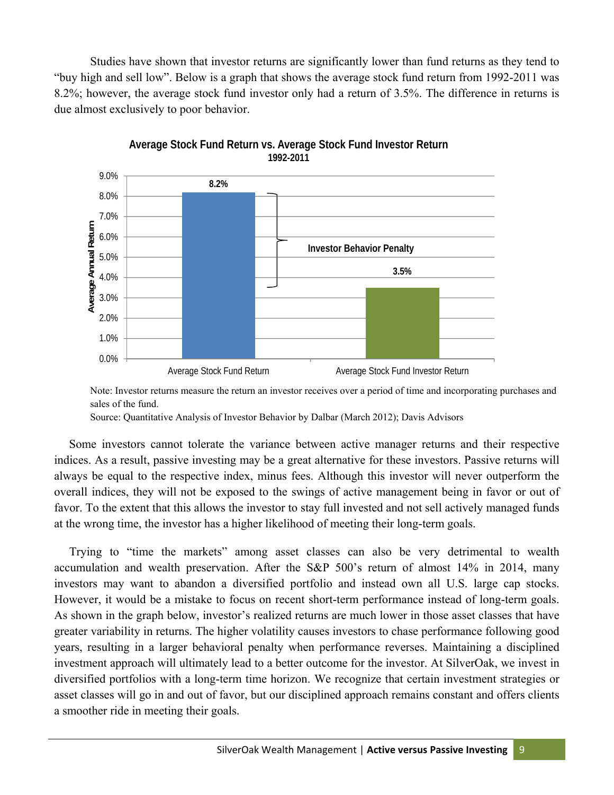Studies have shown that investor returns are significantly lower than fund returns as they tend to "buy high and sell low". Below is a graph that shows the average stock fund return from 1992-2011 was 8.2%; however, the average stock fund investor only had a return of 3.5%. The difference in returns is due almost exclusively to poor behavior.





Note: Investor returns measure the return an investor receives over a period of time and incorporating purchases and sales of the fund.

Source: Quantitative Analysis of Investor Behavior by Dalbar (March 2012); Davis Advisors

 Some investors cannot tolerate the variance between active manager returns and their respective indices. As a result, passive investing may be a great alternative for these investors. Passive returns will always be equal to the respective index, minus fees. Although this investor will never outperform the overall indices, they will not be exposed to the swings of active management being in favor or out of favor. To the extent that this allows the investor to stay full invested and not sell actively managed funds at the wrong time, the investor has a higher likelihood of meeting their long-term goals.

 Trying to "time the markets" among asset classes can also be very detrimental to wealth accumulation and wealth preservation. After the S&P 500's return of almost 14% in 2014, many investors may want to abandon a diversified portfolio and instead own all U.S. large cap stocks. However, it would be a mistake to focus on recent short-term performance instead of long-term goals. As shown in the graph below, investor's realized returns are much lower in those asset classes that have greater variability in returns. The higher volatility causes investors to chase performance following good years, resulting in a larger behavioral penalty when performance reverses. Maintaining a disciplined investment approach will ultimately lead to a better outcome for the investor. At SilverOak, we invest in diversified portfolios with a long-term time horizon. We recognize that certain investment strategies or asset classes will go in and out of favor, but our disciplined approach remains constant and offers clients a smoother ride in meeting their goals.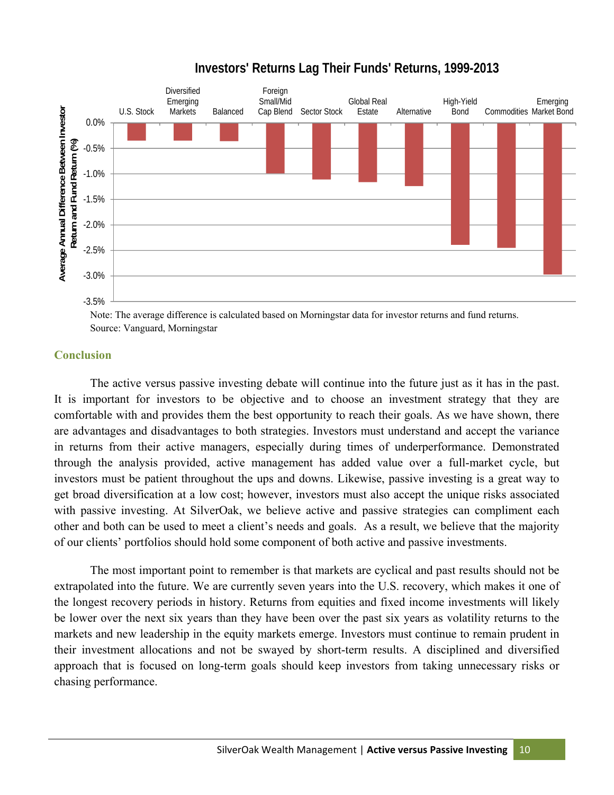# **Investors' Returns Lag Their Funds' Returns, 1999-2013**



Note: The average difference is calculated based on Morningstar data for investor returns and fund returns. Source: Vanguard, Morningstar

#### **Conclusion**

The active versus passive investing debate will continue into the future just as it has in the past. It is important for investors to be objective and to choose an investment strategy that they are comfortable with and provides them the best opportunity to reach their goals. As we have shown, there are advantages and disadvantages to both strategies. Investors must understand and accept the variance in returns from their active managers, especially during times of underperformance. Demonstrated through the analysis provided, active management has added value over a full-market cycle, but investors must be patient throughout the ups and downs. Likewise, passive investing is a great way to get broad diversification at a low cost; however, investors must also accept the unique risks associated with passive investing. At SilverOak, we believe active and passive strategies can compliment each other and both can be used to meet a client's needs and goals. As a result, we believe that the majority of our clients' portfolios should hold some component of both active and passive investments.

The most important point to remember is that markets are cyclical and past results should not be extrapolated into the future. We are currently seven years into the U.S. recovery, which makes it one of the longest recovery periods in history. Returns from equities and fixed income investments will likely be lower over the next six years than they have been over the past six years as volatility returns to the markets and new leadership in the equity markets emerge. Investors must continue to remain prudent in their investment allocations and not be swayed by short-term results. A disciplined and diversified approach that is focused on long-term goals should keep investors from taking unnecessary risks or chasing performance.